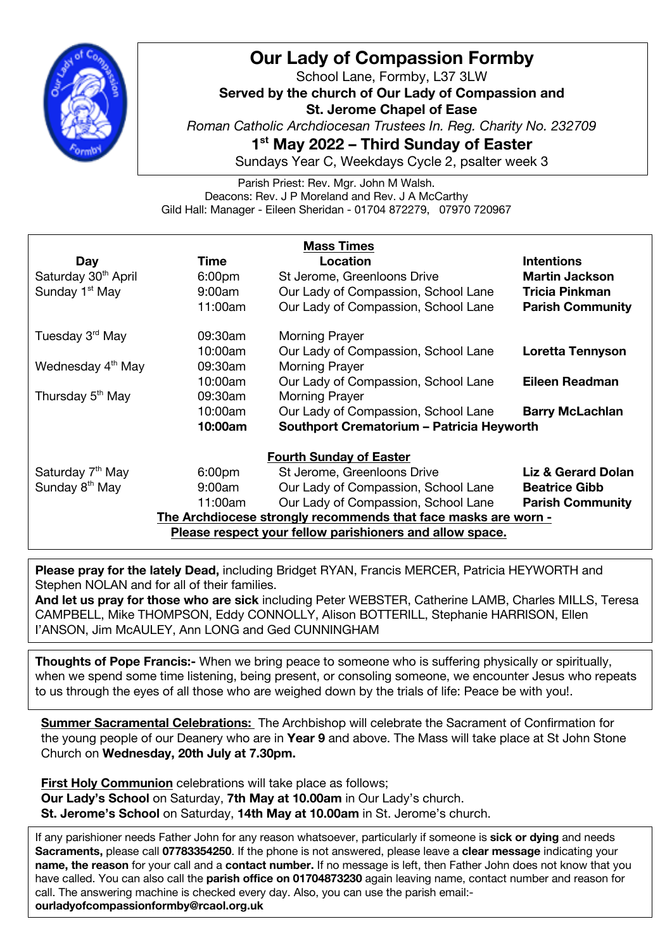

## **Our Lady of Compassion Formby**

School Lane, Formby, L37 3LW **Served by the church of Our Lady of Compassion and St. Jerome Chapel of Ease** *Roman Catholic Archdiocesan Trustees In. Reg. Charity No. 232709* **1st May 2022 – Third Sunday of Easter**

Sundays Year C, Weekdays Cycle 2, psalter week 3

Parish Priest: Rev. Mgr. John M Walsh. Deacons: Rev. J P Moreland and Rev. J A McCarthy Gild Hall: Manager - Eileen Sheridan - 01704 872279, 07970 720967

| <b>Mass Times</b>                                              |                    |                                                  |                               |
|----------------------------------------------------------------|--------------------|--------------------------------------------------|-------------------------------|
| <b>Day</b>                                                     | Time               | Location                                         | <b>Intentions</b>             |
| Saturday 30 <sup>th</sup> April                                | 6:00 <sub>pm</sub> | St Jerome, Greenloons Drive                      | <b>Martin Jackson</b>         |
| Sunday 1 <sup>st</sup> May                                     | 9:00am             | Our Lady of Compassion, School Lane              | <b>Tricia Pinkman</b>         |
|                                                                | 11:00am            | Our Lady of Compassion, School Lane              | <b>Parish Community</b>       |
| Tuesday 3 <sup>rd</sup> May                                    | 09:30am            | <b>Morning Prayer</b>                            |                               |
|                                                                | 10:00am            | Our Lady of Compassion, School Lane              | Loretta Tennyson              |
| Wednesday 4 <sup>th</sup> May                                  | 09:30am            | <b>Morning Prayer</b>                            |                               |
|                                                                | 10:00am            | Our Lady of Compassion, School Lane              | Eileen Readman                |
| Thursday 5 <sup>th</sup> May                                   | 09:30am            | <b>Morning Prayer</b>                            |                               |
|                                                                | 10:00am            | Our Lady of Compassion, School Lane              | <b>Barry McLachlan</b>        |
|                                                                | 10:00am            | <b>Southport Crematorium - Patricia Heyworth</b> |                               |
| <b>Fourth Sunday of Easter</b>                                 |                    |                                                  |                               |
| Saturday 7 <sup>th</sup> May                                   | 6:00 <sub>pm</sub> | St Jerome, Greenloons Drive                      | <b>Liz &amp; Gerard Dolan</b> |
| Sunday 8 <sup>th</sup> May                                     | 9:00am             | Our Lady of Compassion, School Lane              | <b>Beatrice Gibb</b>          |
|                                                                | 11:00am            | Our Lady of Compassion, School Lane              | <b>Parish Community</b>       |
| The Archdiocese strongly recommends that face masks are worn - |                    |                                                  |                               |
| Please respect your fellow parishioners and allow space.       |                    |                                                  |                               |

**Please pray for the lately Dead,** including Bridget RYAN, Francis MERCER, Patricia HEYWORTH and Stephen NOLAN and for all of their families.

**And let us pray for those who are sick** including Peter WEBSTER, Catherine LAMB, Charles MILLS, Teresa CAMPBELL, Mike THOMPSON, Eddy CONNOLLY, Alison BOTTERILL, Stephanie HARRISON, Ellen I'ANSON, Jim McAULEY, Ann LONG and Ged CUNNINGHAM

**Thoughts of Pope Francis:-** When we bring peace to someone who is suffering physically or spiritually, when we spend some time listening, being present, or consoling someone, we encounter Jesus who repeats to us through the eyes of all those who are weighed down by the trials of life: Peace be with you!.

**Summer Sacramental Celebrations:** The Archbishop will celebrate the Sacrament of Confirmation for the young people of our Deanery who are in **Year 9** and above. The Mass will take place at St John Stone Church on **Wednesday, 20th July at 7.30pm.**

**First Holy Communion** celebrations will take place as follows; **Our Lady's School** on Saturday, **7th May at 10.00am** in Our Lady's church. **St. Jerome's School** on Saturday, **14th May at 10.00am** in St. Jerome's church.

If any parishioner needs Father John for any reason whatsoever, particularly if someone is **sick or dying** and needs **Sacraments,** please call **07783354250**. If the phone is not answered, please leave a **clear message** indicating your **name, the reason** for your call and a **contact number.** If no message is left, then Father John does not know that you have called. You can also call the **parish office on 01704873230** again leaving name, contact number and reason for call. The answering machine is checked every day. Also, you can use the parish email: **ourladyofcompassionformby@rcaol.org.uk**